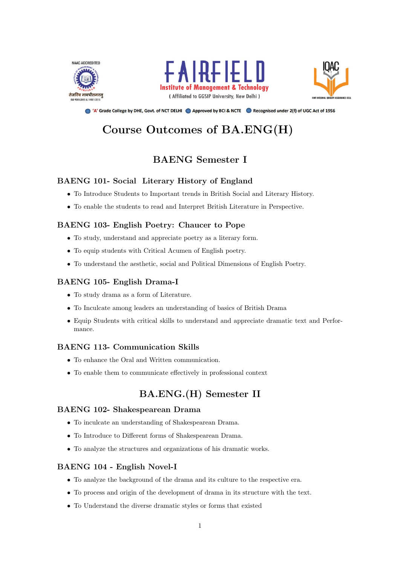





● 'A' Grade College by DHE, Govt. of NCT DELHI ● Approved by BCI & NCTE ● Recognised under 2(f) of UGC Act of 1956

# Course Outcomes of BA.ENG(H)

## BAENG Semester I

## BAENG 101- Social Literary History of England

- To Introduce Students to Important trends in British Social and Literary History.
- To enable the students to read and Interpret British Literature in Perspective.

#### BAENG 103- English Poetry: Chaucer to Pope

- To study, understand and appreciate poetry as a literary form.
- To equip students with Critical Acumen of English poetry.
- To understand the aesthetic, social and Political Dimensions of English Poetry.

### BAENG 105- English Drama-I

- To study drama as a form of Literature.
- To Inculcate among leaders an understanding of basics of British Drama
- Equip Students with critical skills to understand and appreciate dramatic text and Performance.

#### BAENG 113- Communication Skills

- To enhance the Oral and Written communication.
- To enable them to communicate effectively in professional context

## BA.ENG.(H) Semester II

#### BAENG 102- Shakespearean Drama

- To inculcate an understanding of Shakespearean Drama.
- To Introduce to Different forms of Shakespearean Drama.
- To analyze the structures and organizations of his dramatic works.

## BAENG 104 - English Novel-I

- To analyze the background of the drama and its culture to the respective era.
- To process and origin of the development of drama in its structure with the text.
- To Understand the diverse dramatic styles or forms that existed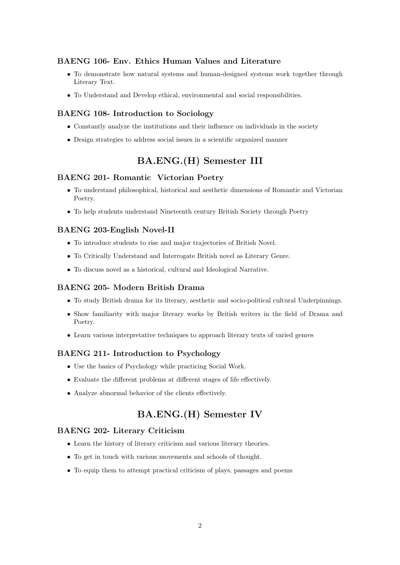#### BAENG 106- Env. Ethics Human Values and Literature

- To demonstrate how natural systems and human-designed systems work together through Literary Text.
- To Understand and Develop ethical, environmental and social responsibilities.

#### BAENG 108- Introduction to Sociology

- Constantly analyze the institutions and their influence on individuals in the society
- Design strategies to address social issues in a scientific organized manner

## BA.ENG.(H) Semester III

#### BAENG 201- Romantic Victorian Poetry

- To understand philosophical, historical and aesthetic dimensions of Romantic and Victorian Poetry.
- To help students understand Nineteenth century British Society through Poetry

#### BAENG 203-English Novel-II

- To introduce students to rise and major trajectories of British Novel.
- To Critically Understand and Interrogate British novel as Literary Genre.
- To discuss novel as a historical, cultural and Ideological Narrative.

#### BAENG 205- Modern British Drama

- To study British drama for its literary, aesthetic and socio-political cultural Underpinnings.
- Show familiarity with major literary works by British writers in the field of Drama and Poetry.
- Learn various interpretative techniques to approach literary texts of varied genres

#### BAENG 211- Introduction to Psychology

- Use the basics of Psychology while practicing Social Work.
- Evaluate the different problems at different stages of life effectively.
- Analyze abnormal behavior of the clients effectively.

## BA.ENG.(H) Semester IV

#### BAENG 202- Literary Criticism

- Learn the history of literary criticism and various literary theories.
- To get in touch with various movements and schools of thought.
- To equip them to attempt practical criticism of plays, passages and poems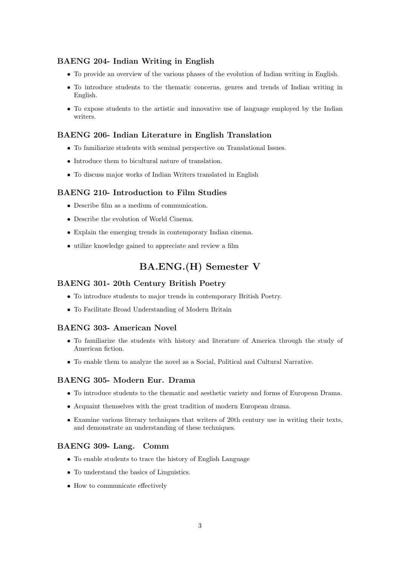## BAENG 204- Indian Writing in English

- To provide an overview of the various phases of the evolution of Indian writing in English.
- To introduce students to the thematic concerns, genres and trends of Indian writing in English.
- To expose students to the artistic and innovative use of language employed by the Indian writers.

#### BAENG 206- Indian Literature in English Translation

- To familiarize students with seminal perspective on Translational Issues.
- Introduce them to bicultural nature of translation.
- To discuss major works of Indian Writers translated in English

#### BAENG 210- Introduction to Film Studies

- Describe film as a medium of communication.
- Describe the evolution of World Cinema.
- Explain the emerging trends in contemporary Indian cinema.
- utilize knowledge gained to appreciate and review a film

## BA.ENG.(H) Semester V

#### BAENG 301- 20th Century British Poetry

- To introduce students to major trends in contemporary British Poetry.
- To Facilitate Broad Understanding of Modern Britain

#### BAENG 303- American Novel

- To familiarize the students with history and literature of America through the study of American fiction.
- To enable them to analyze the novel as a Social, Political and Cultural Narrative.

#### BAENG 305- Modern Eur. Drama

- To introduce students to the thematic and aesthetic variety and forms of European Drama.
- Acquaint themselves with the great tradition of modern European drama.
- Examine various literary techniques that writers of 20th century use in writing their texts, and demonstrate an understanding of these techniques.

#### BAENG 309- Lang. Comm

- To enable students to trace the history of English Language
- To understand the basics of Linguistics.
- How to communicate effectively